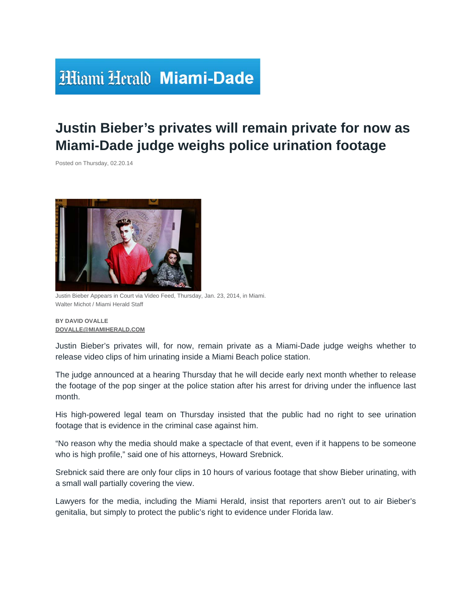## **Hiami Herald Miami-Dade**

## **Justin Bieber's privates will remain private for now as Miami-Dade judge weighs police urination footage**

Posted on Thursday, 02.20.14



Justin Bieber Appears in Court via Video Feed, Thursday, Jan. 23, 2014, in Miami. Walter Michot / Miami Herald Staff

## **BY DAVID OVALLE DOVALLE@MIAMIHERALD.COM**

Justin Bieber's privates will, for now, remain private as a Miami-Dade judge weighs whether to release video clips of him urinating inside a Miami Beach police station.

The judge announced at a hearing Thursday that he will decide early next month whether to release the footage of the pop singer at the police station after his arrest for driving under the influence last month.

His high-powered legal team on Thursday insisted that the public had no right to see urination footage that is evidence in the criminal case against him.

"No reason why the media should make a spectacle of that event, even if it happens to be someone who is high profile," said one of his attorneys, Howard Srebnick.

Srebnick said there are only four clips in 10 hours of various footage that show Bieber urinating, with a small wall partially covering the view.

Lawyers for the media, including the Miami Herald, insist that reporters aren't out to air Bieber's genitalia, but simply to protect the public's right to evidence under Florida law.